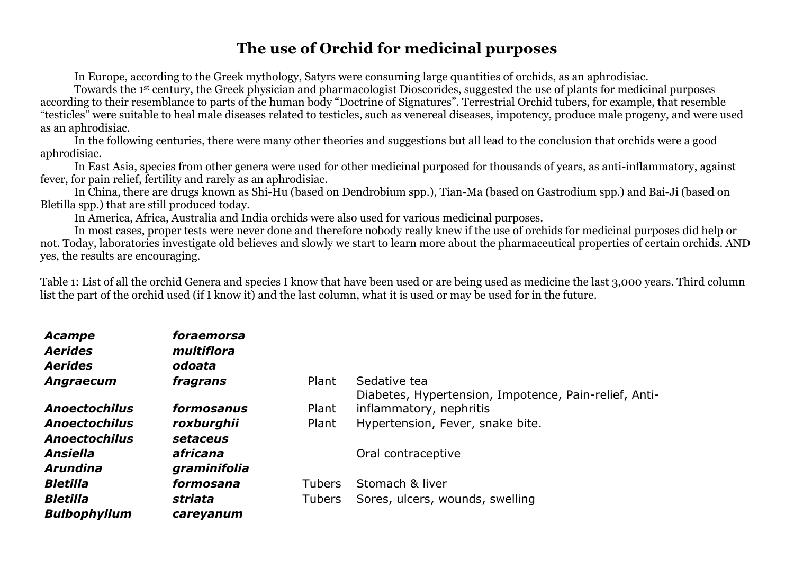## **The use of Orchid for medicinal purposes**

In Europe, according to the Greek mythology, Satyrs were consuming large quantities of orchids, as an aphrodisiac.

Towards the 1st century, the Greek physician and pharmacologist Dioscorides, suggested the use of plants for medicinal purposes according to their resemblance to parts of the human body "Doctrine of Signatures". Terrestrial Orchid tubers, for example, that resemble "testicles" were suitable to heal male diseases related to testicles, such as venereal diseases, impotency, produce male progeny, and were used as an aphrodisiac.

In the following centuries, there were many other theories and suggestions but all lead to the conclusion that orchids were a good aphrodisiac.

In East Asia, species from other genera were used for other medicinal purposed for thousands of years, as anti-inflammatory, against fever, for pain relief, fertility and rarely as an aphrodisiac.

In China, there are drugs known as Shi-Hu (based on Dendrobium spp.), Tian-Ma (based on Gastrodium spp.) and Bai-Ji (based on Bletilla spp.) that are still produced today.

In America, Africa, Australia and India orchids were also used for various medicinal purposes.

In most cases, proper tests were never done and therefore nobody really knew if the use of orchids for medicinal purposes did help or not. Today, laboratories investigate old believes and slowly we start to learn more about the pharmaceutical properties of certain orchids. AND yes, the results are encouraging.

Table 1: List of all the orchid Genera and species I know that have been used or are being used as medicine the last 3,000 years. Third column list the part of the orchid used (if I know it) and the last column, what it is used or may be used for in the future.

| Acampe<br><b>Aerides</b><br><b>Aerides</b> | foraemorsa<br>multiflora<br>odoata |               |                                                       |
|--------------------------------------------|------------------------------------|---------------|-------------------------------------------------------|
| <b>Angraecum</b>                           | fragrans                           | Plant         | Sedative tea                                          |
|                                            |                                    |               | Diabetes, Hypertension, Impotence, Pain-relief, Anti- |
| <b>Anoectochilus</b>                       | formosanus                         | Plant         | inflammatory, nephritis                               |
| <b>Anoectochilus</b>                       | roxburghii                         | Plant         | Hypertension, Fever, snake bite.                      |
| <b>Anoectochilus</b>                       | setaceus                           |               |                                                       |
| <b>Ansiella</b>                            | africana                           |               | Oral contraceptive                                    |
| <b>Arundina</b>                            | graminifolia                       |               |                                                       |
| <b>Bletilla</b>                            | formosana                          | <b>Tubers</b> | Stomach & liver                                       |
| <b>Bletilla</b>                            | striata                            | Tubers        | Sores, ulcers, wounds, swelling                       |
| <b>Bulbophyllum</b>                        | careyanum                          |               |                                                       |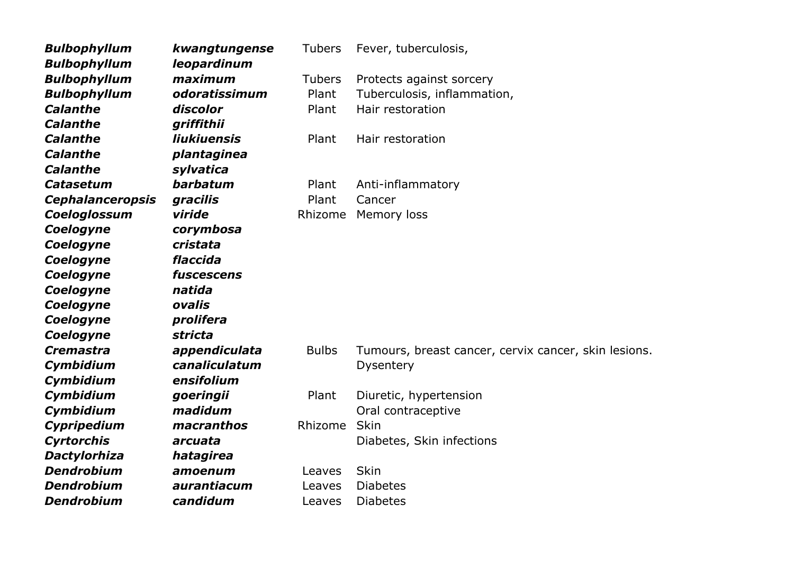| <b>Bulbophyllum</b>     | kwangtungense      | <b>Tubers</b> | Fever, tuberculosis,                                 |
|-------------------------|--------------------|---------------|------------------------------------------------------|
| <b>Bulbophyllum</b>     | leopardinum        |               |                                                      |
| <b>Bulbophyllum</b>     | maximum            | <b>Tubers</b> | Protects against sorcery                             |
| <b>Bulbophyllum</b>     | odoratissimum      | Plant         | Tuberculosis, inflammation,                          |
| <b>Calanthe</b>         | discolor           | Plant         | Hair restoration                                     |
| <b>Calanthe</b>         | griffithii         |               |                                                      |
| <b>Calanthe</b>         | <b>liukiuensis</b> | Plant         | Hair restoration                                     |
| <b>Calanthe</b>         | plantaginea        |               |                                                      |
| <b>Calanthe</b>         | sylvatica          |               |                                                      |
| <b>Catasetum</b>        | barbatum           | Plant         | Anti-inflammatory                                    |
| <b>Cephalanceropsis</b> | gracilis           | Plant         | Cancer                                               |
| Coeloglossum            | viride             | Rhizome       | Memory loss                                          |
| Coelogyne               | corymbosa          |               |                                                      |
| Coelogyne               | cristata           |               |                                                      |
| Coelogyne               | flaccida           |               |                                                      |
| Coelogyne               | fuscescens         |               |                                                      |
| Coelogyne               | natida             |               |                                                      |
| Coelogyne               | ovalis             |               |                                                      |
| Coelogyne               | prolifera          |               |                                                      |
| Coelogyne               | stricta            |               |                                                      |
| <b>Cremastra</b>        | appendiculata      | <b>Bulbs</b>  | Tumours, breast cancer, cervix cancer, skin lesions. |
| Cymbidium               | canaliculatum      |               | Dysentery                                            |
| Cymbidium               | ensifolium         |               |                                                      |
| Cymbidium               | goeringii          | Plant         | Diuretic, hypertension                               |
| Cymbidium               | madidum            |               | Oral contraceptive                                   |
| Cypripedium             | macranthos         | Rhizome       | <b>Skin</b>                                          |
| <b>Cyrtorchis</b>       | arcuata            |               | Diabetes, Skin infections                            |
| <b>Dactylorhiza</b>     | hatagirea          |               |                                                      |
| <b>Dendrobium</b>       | amoenum            | Leaves        | <b>Skin</b>                                          |
| <b>Dendrobium</b>       | aurantiacum        | Leaves        | <b>Diabetes</b>                                      |
| <b>Dendrobium</b>       | candidum           | Leaves        | <b>Diabetes</b>                                      |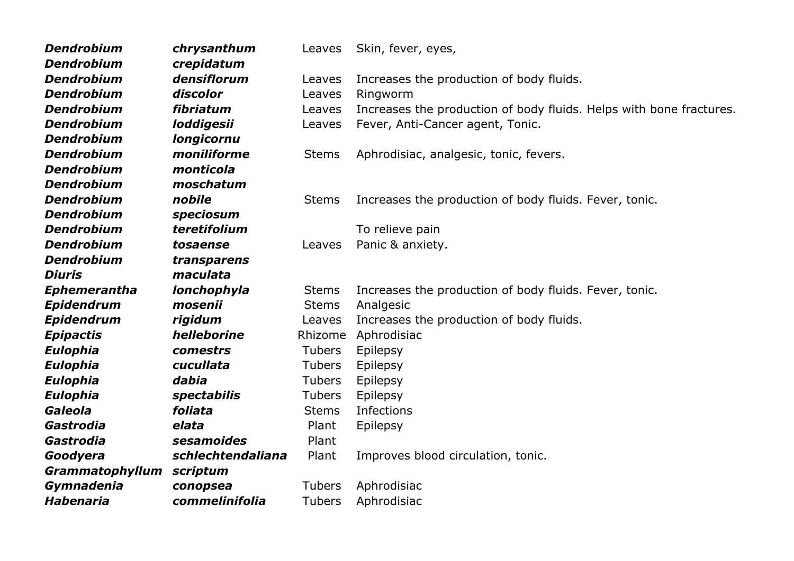| <b>Dendrobium</b>   | chrysanthum       | Leaves        | Skin, fever, eyes,                                                  |
|---------------------|-------------------|---------------|---------------------------------------------------------------------|
| <b>Dendrobium</b>   | crepidatum        |               |                                                                     |
| <b>Dendrobium</b>   | densiflorum       | Leaves        | Increases the production of body fluids.                            |
| <b>Dendrobium</b>   | discolor          | Leaves        | Ringworm                                                            |
| <b>Dendrobium</b>   | fibriatum         | Leaves        | Increases the production of body fluids. Helps with bone fractures. |
| <b>Dendrobium</b>   | loddigesii        | Leaves        | Fever, Anti-Cancer agent, Tonic.                                    |
| <b>Dendrobium</b>   | <b>longicornu</b> |               |                                                                     |
| <b>Dendrobium</b>   | moniliforme       | <b>Stems</b>  | Aphrodisiac, analgesic, tonic, fevers.                              |
| <b>Dendrobium</b>   | monticola         |               |                                                                     |
| <b>Dendrobium</b>   | moschatum         |               |                                                                     |
| <b>Dendrobium</b>   | nobile            | <b>Stems</b>  | Increases the production of body fluids. Fever, tonic.              |
| <b>Dendrobium</b>   | speciosum         |               |                                                                     |
| <b>Dendrobium</b>   | teretifolium      |               | To relieve pain                                                     |
| <b>Dendrobium</b>   | tosaense          | Leaves        | Panic & anxiety.                                                    |
| <b>Dendrobium</b>   | transparens       |               |                                                                     |
| <b>Diuris</b>       | maculata          |               |                                                                     |
| <b>Ephemerantha</b> | lonchophyla       | <b>Stems</b>  | Increases the production of body fluids. Fever, tonic.              |
| <b>Epidendrum</b>   | mosenii           | <b>Stems</b>  | Analgesic                                                           |
| <b>Epidendrum</b>   | rigidum           | Leaves        | Increases the production of body fluids.                            |
| <b>Epipactis</b>    | helleborine       | Rhizome       | Aphrodisiac                                                         |
| <b>Eulophia</b>     | comestrs          | <b>Tubers</b> | Epilepsy                                                            |
| <b>Eulophia</b>     | cucullata         | <b>Tubers</b> | Epilepsy                                                            |
| <b>Eulophia</b>     | dabia             | <b>Tubers</b> | Epilepsy                                                            |
| <b>Eulophia</b>     | spectabilis       | <b>Tubers</b> | Epilepsy                                                            |
| Galeola             | foliata           | <b>Stems</b>  | Infections                                                          |
| Gastrodia           | elata             | Plant         | Epilepsy                                                            |
| Gastrodia           | sesamoides        | Plant         |                                                                     |
| Goodyera            | schlechtendaliana | Plant         | Improves blood circulation, tonic.                                  |
| Grammatophyllum     | scriptum          |               |                                                                     |
| Gymnadenia          | conopsea          | <b>Tubers</b> | Aphrodisiac                                                         |
| <b>Habenaria</b>    | commelinifolia    | <b>Tubers</b> | Aphrodisiac                                                         |
|                     |                   |               |                                                                     |